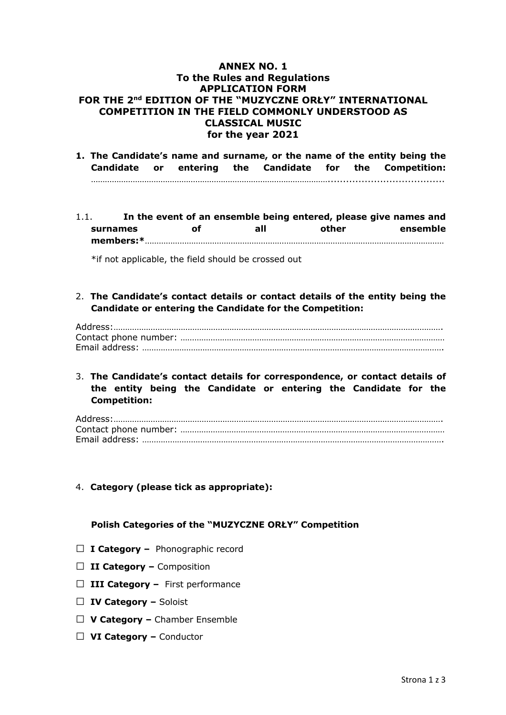## **ANNEX NO. 1 To the Rules and Regulations APPLICATION FORM FOR THE 2nd EDITION OF THE "MUZYCZNE ORŁY" INTERNATIONAL COMPETITION IN THE FIELD COMMONLY UNDERSTOOD AS CLASSICAL MUSIC for the year 2021**

**1. The Candidate's name and surname, or the name of the entity being the Candidate or entering the Candidate for the Competition:**  …………………………………………………………………………………………......................................

1.1. **In the event of an ensemble being entered, please give names and surnames of all other ensemble members:\***…………………………………………………………………………………………………………………

\*if not applicable, the field should be crossed out

2. **The Candidate's contact details or contact details of the entity being the Candidate or entering the Candidate for the Competition:**

## 3. **The Candidate's contact details for correspondence, or contact details of the entity being the Candidate or entering the Candidate for the Competition:**

4. **Category (please tick as appropriate):**

## **Polish Categories of the "MUZYCZNE ORŁY" Competition**

- □ **I Category** Phonographic record
- □ **II Category** Composition
- □ **III Category** First performance
- □ **IV Category –** Soloist
- □ **V Category –** Chamber Ensemble
- □ **VI Category –** Conductor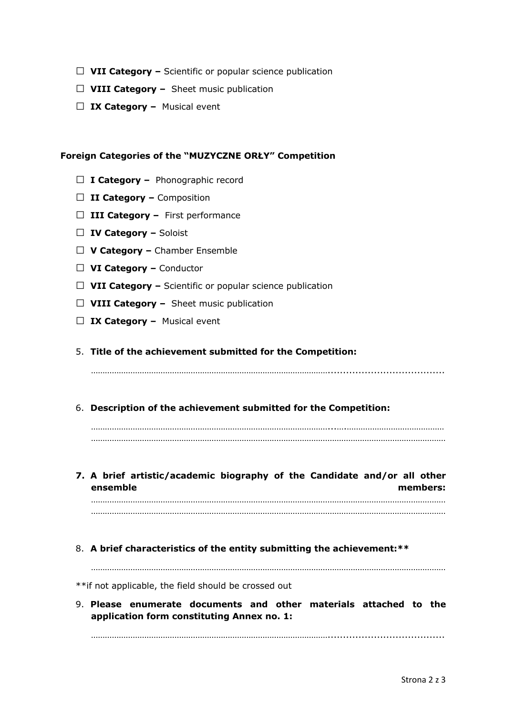- □ VII Category Scientific or popular science publication
- □ VIII Category Sheet music publication
- □ **IX Category** Musical event

## **Foreign Categories of the "MUZYCZNE ORŁY" Competition**

- □ **I Category** Phonographic record
- □ **II Category –** Composition
- □ **III Category** First performance
- □ **IV Category –** Soloist
- □ **V Category –** Chamber Ensemble
- □ **VI Category –** Conductor
- □ VII Category Scientific or popular science publication
- □ VIII Category Sheet music publication
- □ **IX Category –** Musical event
- 5. **Title of the achievement submitted for the Competition:**

…………………………………………………………………………………………......................................

6. **Description of the achievement submitted for the Competition:**

…………………………………………………………………………………………...….…………………………………… ………………………………………………………………………………………………………………………………………

**7. A brief artistic/academic biography of the Candidate and/or all other ensemble members:**  ………………………………………………………………………………………………………………………………………

………………………………………………………………………………………………………………………………………

8. **A brief characteristics of the entity submitting the achievement:\*\***

………………………………………………………………………………………………………………………………………

\*\*if not applicable, the field should be crossed out

9. **Please enumerate documents and other materials attached to the application form constituting Annex no. 1:**

…………………………………………………………………………………………......................................